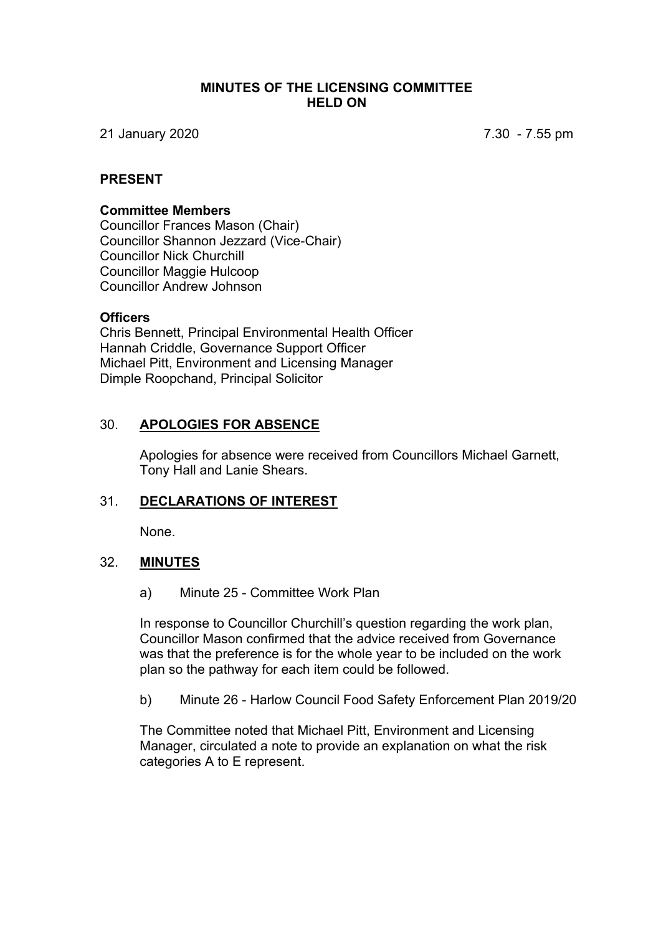#### **MINUTES OF THE LICENSING COMMITTEE HELD ON**

21 January 2020 7.30 - 7.55 pm

#### **PRESENT**

#### **Committee Members**

Councillor Frances Mason (Chair) Councillor Shannon Jezzard (Vice-Chair) Councillor Nick Churchill Councillor Maggie Hulcoop Councillor Andrew Johnson

#### **Officers**

Chris Bennett, Principal Environmental Health Officer Hannah Criddle, Governance Support Officer Michael Pitt, Environment and Licensing Manager Dimple Roopchand, Principal Solicitor

### 30. **APOLOGIES FOR ABSENCE**

Apologies for absence were received from Councillors Michael Garnett, Tony Hall and Lanie Shears.

# 31. **DECLARATIONS OF INTEREST**

None.

### 32. **MINUTES**

a) Minute 25 - Committee Work Plan

In response to Councillor Churchill's question regarding the work plan, Councillor Mason confirmed that the advice received from Governance was that the preference is for the whole year to be included on the work plan so the pathway for each item could be followed.

b) Minute 26 - Harlow Council Food Safety Enforcement Plan 2019/20

The Committee noted that Michael Pitt, Environment and Licensing Manager, circulated a note to provide an explanation on what the risk categories A to E represent.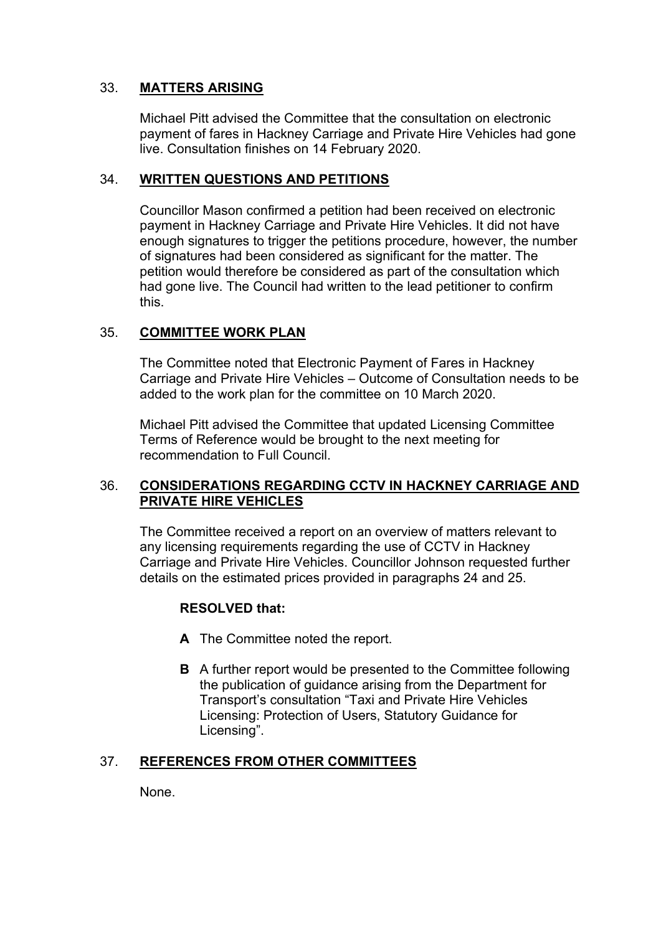# 33. **MATTERS ARISING**

Michael Pitt advised the Committee that the consultation on electronic payment of fares in Hackney Carriage and Private Hire Vehicles had gone live. Consultation finishes on 14 February 2020.

### 34. **WRITTEN QUESTIONS AND PETITIONS**

Councillor Mason confirmed a petition had been received on electronic payment in Hackney Carriage and Private Hire Vehicles. It did not have enough signatures to trigger the petitions procedure, however, the number of signatures had been considered as significant for the matter. The petition would therefore be considered as part of the consultation which had gone live. The Council had written to the lead petitioner to confirm this.

# 35. **COMMITTEE WORK PLAN**

The Committee noted that Electronic Payment of Fares in Hackney Carriage and Private Hire Vehicles – Outcome of Consultation needs to be added to the work plan for the committee on 10 March 2020.

Michael Pitt advised the Committee that updated Licensing Committee Terms of Reference would be brought to the next meeting for recommendation to Full Council.

### 36. **CONSIDERATIONS REGARDING CCTV IN HACKNEY CARRIAGE AND PRIVATE HIRE VEHICLES**

The Committee received a report on an overview of matters relevant to any licensing requirements regarding the use of CCTV in Hackney Carriage and Private Hire Vehicles. Councillor Johnson requested further details on the estimated prices provided in paragraphs 24 and 25.

### **RESOLVED that:**

- **A** The Committee noted the report.
- **B** A further report would be presented to the Committee following the publication of guidance arising from the Department for Transport's consultation "Taxi and Private Hire Vehicles Licensing: Protection of Users, Statutory Guidance for Licensing".

### 37. **REFERENCES FROM OTHER COMMITTEES**

None.